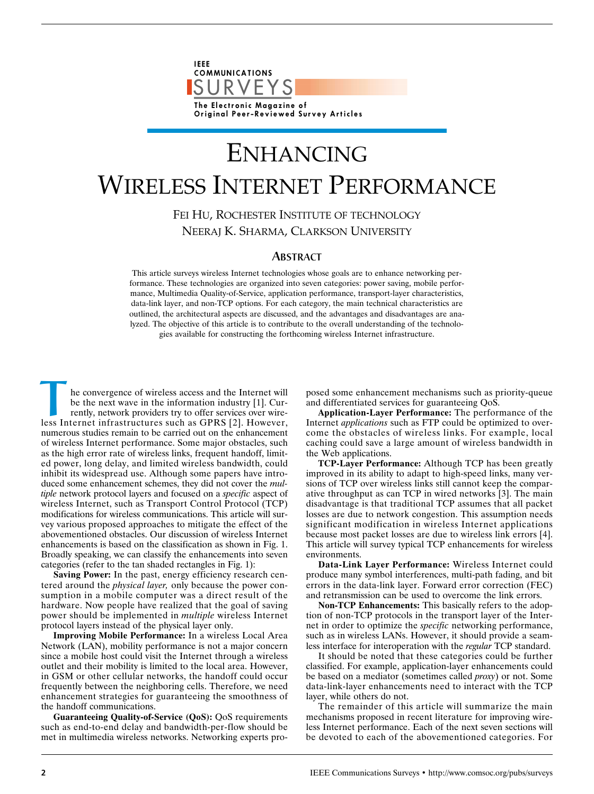

# ENHANCING WIRELESS INTERNET PERFORMANCE

FEI HU, ROCHESTER INSTITUTE OF TECHNOLOGY NEERAJ K. SHARMA, CLARKSON UNIVERSITY

# **ABSTRACT**

This article surveys wireless Internet technologies whose goals are to enhance networking performance. These technologies are organized into seven categories: power saving, mobile performance, Multimedia Quality-of-Service, application performance, transport-layer characteristics, data-link layer, and non-TCP options. For each category, the main technical characteristics are outlined, the architectural aspects are discussed, and the advantages and disadvantages are analyzed. The objective of this article is to contribute to the overall understanding of the technologies available for constructing the forthcoming wireless Internet infrastructure.

he convergence of wireless access and the Internet will be the next wave in the information industry [1]. Currently, network providers try to offer services over wireless internet will be the next wave in the information industry [1]. Currently, network providers try to offer services over wireless Internet infrastructures such as GPRS [2]. However, numerous studies remain to be carried out on the enhancement of wireless Internet performance. Some major obstacles, such as the high error rate of wireless links, frequent handoff, limited power, long delay, and limited wireless bandwidth, could inhibit its widespread use. Although some papers have introduced some enhancement schemes, they did not cover the *multiple* network protocol layers and focused on a *specific* aspect of wireless Internet, such as Transport Control Protocol (TCP) modifications for wireless communications. This article will survey various proposed approaches to mitigate the effect of the abovementioned obstacles. Our discussion of wireless Internet enhancements is based on the classification as shown in Fig. 1. Broadly speaking, we can classify the enhancements into seven categories (refer to the tan shaded rectangles in Fig. 1):

**Saving Power:** In the past, energy efficiency research centered around the *physical layer,* only because the power consumption in a mobile computer was a direct result of the hardware. Now people have realized that the goal of saving power should be implemented in *multiple* wireless Internet protocol layers instead of the physical layer only.

**Improving Mobile Performance:** In a wireless Local Area Network (LAN), mobility performance is not a major concern since a mobile host could visit the Internet through a wireless outlet and their mobility is limited to the local area. However, in GSM or other cellular networks, the handoff could occur frequently between the neighboring cells. Therefore, we need enhancement strategies for guaranteeing the smoothness of the handoff communications.

**Guaranteeing Quality-of-Service (QoS):** QoS requirements such as end-to-end delay and bandwidth-per-flow should be met in multimedia wireless networks. Networking experts proposed some enhancement mechanisms such as priority-queue and differentiated services for guaranteeing QoS.

**Application-Layer Performance:** The performance of the Internet *applications* such as FTP could be optimized to overcome the obstacles of wireless links. For example, local caching could save a large amount of wireless bandwidth in the Web applications.

**TCP-Layer Performance:** Although TCP has been greatly improved in its ability to adapt to high-speed links, many versions of TCP over wireless links still cannot keep the comparative throughput as can TCP in wired networks [3]. The main disadvantage is that traditional TCP assumes that all packet losses are due to network congestion. This assumption needs significant modification in wireless Internet applications because most packet losses are due to wireless link errors [4]. This article will survey typical TCP enhancements for wireless environments.

**Data-Link Layer Performance:** Wireless Internet could produce many symbol interferences, multi-path fading, and bit errors in the data-link layer. Forward error correction (FEC) and retransmission can be used to overcome the link errors.

**Non-TCP Enhancements:** This basically refers to the adoption of non-TCP protocols in the transport layer of the Internet in order to optimize the *specific* networking performance, such as in wireless LANs. However, it should provide a seamless interface for interoperation with the *regular* TCP standard.

It should be noted that these categories could be further classified. For example, application-layer enhancements could be based on a mediator (sometimes called *proxy*) or not. Some data-link-layer enhancements need to interact with the TCP layer, while others do not.

The remainder of this article will summarize the main mechanisms proposed in recent literature for improving wireless Internet performance. Each of the next seven sections will be devoted to each of the abovementioned categories. For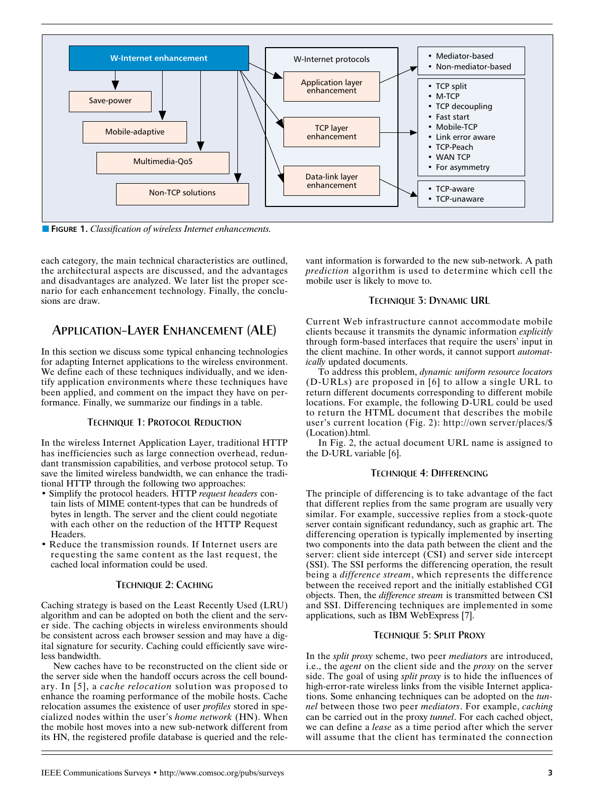

■ **FIGURE 1.** *Classification of wireless Internet enhancements.* 

each category, the main technical characteristics are outlined, the architectural aspects are discussed, and the advantages and disadvantages are analyzed. We later list the proper scenario for each enhancement technology. Finally, the conclusions are draw.

# **APPLICATION-LAYER ENHANCEMENT (ALE)**

In this section we discuss some typical enhancing technologies for adapting Internet applications to the wireless environment. We define each of these techniques individually, and we identify application environments where these techniques have been applied, and comment on the impact they have on performance. Finally, we summarize our findings in a table.

## **TECHNIQUE 1: PROTOCOL REDUCTION**

In the wireless Internet Application Layer, traditional HTTP has inefficiencies such as large connection overhead, redundant transmission capabilities, and verbose protocol setup. To save the limited wireless bandwidth, we can enhance the traditional HTTP through the following two approaches:

- Simplify the protocol headers. HTTP *request headers* contain lists of MIME content-types that can be hundreds of bytes in length. The server and the client could negotiate with each other on the reduction of the HTTP Request Headers.
- Reduce the transmission rounds. If Internet users are requesting the same content as the last request, the cached local information could be used.

## **TECHNIQUE 2: CACHING**

Caching strategy is based on the Least Recently Used (LRU) algorithm and can be adopted on both the client and the server side. The caching objects in wireless environments should be consistent across each browser session and may have a digital signature for security. Caching could efficiently save wireless bandwidth.

New caches have to be reconstructed on the client side or the server side when the handoff occurs across the cell boundary. In [5], a *cache relocation* solution was proposed to enhance the roaming performance of the mobile hosts. Cache relocation assumes the existence of user *profiles* stored in specialized nodes within the user's *home network* (HN). When the mobile host moves into a new sub-network different from its HN, the registered profile database is queried and the relevant information is forwarded to the new sub-network. A path *prediction* algorithm is used to determine which cell the mobile user is likely to move to.

## **TECHNIQUE 3: DYNAMIC URL**

Current Web infrastructure cannot accommodate mobile clients because it transmits the dynamic information *explicitly* through form-based interfaces that require the users' input in the client machine. In other words, it cannot support *automatically* updated documents.

To address this problem, *dynamic uniform resource locators* (D-URLs) are proposed in [6] to allow a single URL to return different documents corresponding to different mobile locations. For example, the following D-URL could be used to return the HTML document that describes the mobile user's current location (Fig. 2): http://own server/places/\$ (Location).html.

In Fig. 2, the actual document URL name is assigned to the D-URL variable [6].

# **TECHNIQUE 4: DIFFERENCING**

The principle of differencing is to take advantage of the fact that different replies from the same program are usually very similar. For example, successive replies from a stock-quote server contain significant redundancy, such as graphic art. The differencing operation is typically implemented by inserting two components into the data path between the client and the server: client side intercept (CSI) and server side intercept (SSI). The SSI performs the differencing operation, the result being a *difference stream*, which represents the difference between the received report and the initially established CGI objects. Then, the *difference stream* is transmitted between CSI and SSI. Differencing techniques are implemented in some applications, such as IBM WebExpress [7].

# **TECHNIQUE 5: SPLIT PROXY**

In the *split proxy* scheme, two peer *mediators* are introduced, i.e., the *agent* on the client side and the *proxy* on the server side. The goal of using *split proxy* is to hide the influences of high-error-rate wireless links from the visible Internet applications. Some enhancing techniques can be adopted on the *tunnel* between those two peer *mediators*. For example, *caching* can be carried out in the proxy *tunnel*. For each cached object, we can define a *lease* as a time period after which the server will assume that the client has terminated the connection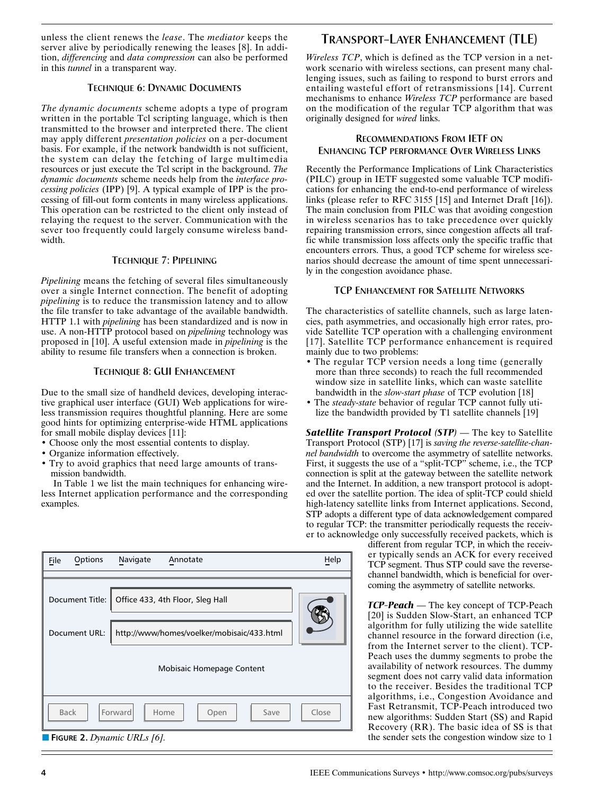unless the client renews the *lease*. The *mediator* keeps the server alive by periodically renewing the leases [8]. In addition, *differencing* and *data compression* can also be performed in this *tunnel* in a transparent way.

# **TECHNIQUE 6: DYNAMIC DOCUMENTS**

*The dynamic documents* scheme adopts a type of program written in the portable Tcl scripting language, which is then transmitted to the browser and interpreted there. The client may apply different *presentation policies* on a per-document basis. For example, if the network bandwidth is not sufficient, the system can delay the fetching of large multimedia resources or just execute the Tcl script in the background. *The dynamic documents* scheme needs help from the *interface processing policies* (IPP) [9]. A typical example of IPP is the processing of fill-out form contents in many wireless applications. This operation can be restricted to the client only instead of relaying the request to the server. Communication with the sever too frequently could largely consume wireless bandwidth.

# **TECHNIQUE 7: PIPELINING**

*Pipelining* means the fetching of several files simultaneously over a single Internet connection. The benefit of adopting *pipelining* is to reduce the transmission latency and to allow the file transfer to take advantage of the available bandwidth. HTTP 1.1 with *pipelining* has been standardized and is now in use. A non-HTTP protocol based on *pipelining* technology was proposed in [10]. A useful extension made in *pipelining* is the ability to resume file transfers when a connection is broken.

## **TECHNIQUE 8: GUI ENHANCEMENT**

Due to the small size of handheld devices, developing interactive graphical user interface (GUI) Web applications for wireless transmission requires thoughtful planning. Here are some good hints for optimizing enterprise-wide HTML applications for small mobile display devices [11]:

- Choose only the most essential contents to display.
- Organize information effectively.
- Try to avoid graphics that need large amounts of transmission bandwidth.

In Table 1 we list the main techniques for enhancing wireless Internet application performance and the corresponding examples.



# **TRANSPORT-LAYER ENHANCEMENT (TLE)**

*Wireless TCP*, which is defined as the TCP version in a network scenario with wireless sections, can present many challenging issues, such as failing to respond to burst errors and entailing wasteful effort of retransmissions [14]. Current mechanisms to enhance *Wireless TCP* performance are based on the modification of the regular TCP algorithm that was originally designed for *wired* links.

# **RECOMMENDATIONS FROM IETF ON ENHANCING TCP PERFORMANCE OVER WIRELESS LINKS**

Recently the Performance Implications of Link Characteristics (PILC) group in IETF suggested some valuable TCP modifications for enhancing the end-to-end performance of wireless links (please refer to RFC 3155 [15] and Internet Draft [16]). The main conclusion from PILC was that avoiding congestion in wireless scenarios has to take precedence over quickly repairing transmission errors, since congestion affects all traffic while transmission loss affects only the specific traffic that encounters errors. Thus, a good TCP scheme for wireless scenarios should decrease the amount of time spent unnecessarily in the congestion avoidance phase.

# **TCP ENHANCEMENT FOR SATELLITE NETWORKS**

The characteristics of satellite channels, such as large latencies, path asymmetries, and occasionally high error rates, provide Satellite TCP operation with a challenging environment [17]. Satellite TCP performance enhancement is required mainly due to two problems:

- The regular TCP version needs a long time (generally more than three seconds) to reach the full recommended window size in satellite links, which can waste satellite bandwidth in the *slow-start phase* of TCP evolution [18]
- The *steady-state* behavior of regular TCP cannot fully utilize the bandwidth provided by T1 satellite channels [19]

*Satellite Transport Protocol (STP)* — The key to Satellite Transport Protocol (STP) [17] is *saving the reverse-satellite-channel bandwidth* to overcome the asymmetry of satellite networks. First, it suggests the use of a "split-TCP" scheme, i.e., the TCP connection is split at the gateway between the satellite network and the Internet. In addition, a new transport protocol is adopted over the satellite portion. The idea of split-TCP could shield high-latency satellite links from Internet applications. Second, STP adopts a different type of data acknowledgement compared to regular TCP: the transmitter periodically requests the receiver to acknowledge only successfully received packets, which is

> different from regular TCP, in which the receiver typically sends an ACK for every received TCP segment. Thus STP could save the reversechannel bandwidth, which is beneficial for overcoming the asymmetry of satellite networks.

> *TCP-Peach* — The key concept of TCP-Peach [20] is Sudden Slow-Start, an enhanced TCP algorithm for fully utilizing the wide satellite channel resource in the forward direction (i.e, from the Internet server to the client). TCP-Peach uses the dummy segments to probe the availability of network resources. The dummy segment does not carry valid data information to the receiver. Besides the traditional TCP algorithms, i.e., Congestion Avoidance and Fast Retransmit, TCP-Peach introduced two new algorithms: Sudden Start (SS) and Rapid Recovery (RR). The basic idea of SS is that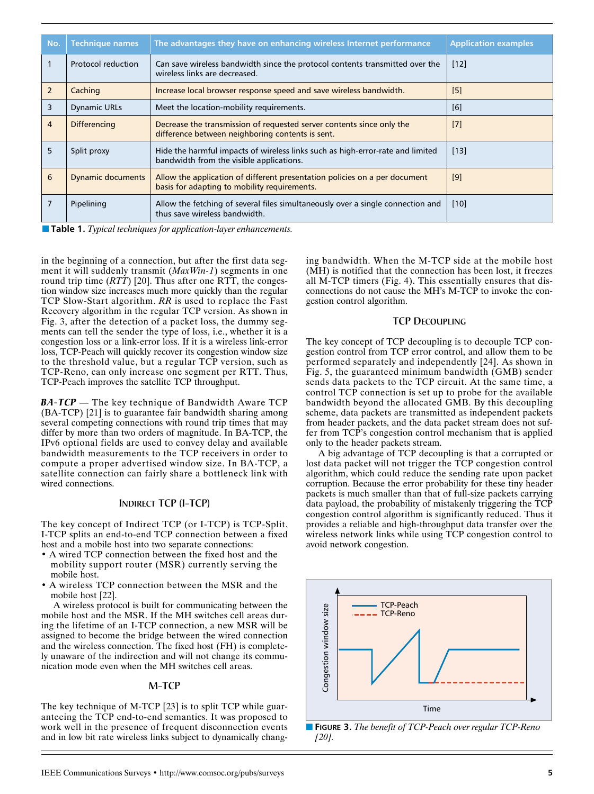| No.            | <b>Technique names</b>   | The advantages they have on enhancing wireless Internet performance                                                        | <b>Application examples</b> |
|----------------|--------------------------|----------------------------------------------------------------------------------------------------------------------------|-----------------------------|
|                | Protocol reduction       | Can save wireless bandwidth since the protocol contents transmitted over the<br>wireless links are decreased.              | $[12]$                      |
| 2              | Caching                  | Increase local browser response speed and save wireless bandwidth.                                                         | [5]                         |
| 3              | <b>Dynamic URLs</b>      | Meet the location-mobility requirements.                                                                                   | [6]                         |
| $\overline{4}$ | <b>Differencing</b>      | Decrease the transmission of requested server contents since only the<br>difference between neighboring contents is sent.  | [7]                         |
| 5              | Split proxy              | Hide the harmful impacts of wireless links such as high-error-rate and limited<br>bandwidth from the visible applications. | $[13]$                      |
| 6              | <b>Dynamic documents</b> | Allow the application of different presentation policies on a per document<br>basis for adapting to mobility requirements. | [9]                         |
|                | Pipelining               | Allow the fetching of several files simultaneously over a single connection and<br>thus save wireless bandwidth.           | $[10]$                      |

■ **Table 1.** *Typical techniques for application-layer enhancements.* 

in the beginning of a connection, but after the first data segment it will suddenly transmit (*MaxWin-1*) segments in one round trip time (*RTT*) [20]. Thus after one RTT, the congestion window size increases much more quickly than the regular TCP Slow-Start algorithm. *RR* is used to replace the Fast Recovery algorithm in the regular TCP version. As shown in Fig. 3, after the detection of a packet loss, the dummy segments can tell the sender the type of loss, i.e., whether it is a congestion loss or a link-error loss. If it is a wireless link-error loss, TCP-Peach will quickly recover its congestion window size to the threshold value, but a regular TCP version, such as TCP-Reno, can only increase one segment per RTT. Thus, TCP-Peach improves the satellite TCP throughput.

*BA-TCP* — The key technique of Bandwidth Aware TCP (BA-TCP) [21] is to guarantee fair bandwidth sharing among several competing connections with round trip times that may differ by more than two orders of magnitude. In BA-TCP, the IPv6 optional fields are used to convey delay and available bandwidth measurements to the TCP receivers in order to compute a proper advertised window size. In BA-TCP, a satellite connection can fairly share a bottleneck link with wired connections.

## **INDIRECT TCP (I-TCP)**

The key concept of Indirect TCP (or I-TCP) is TCP-Split. I-TCP splits an end-to-end TCP connection between a fixed host and a mobile host into two separate connections:

- A wired TCP connection between the fixed host and the mobility support router (MSR) currently serving the mobile host.
- A wireless TCP connection between the MSR and the mobile host [22].

A wireless protocol is built for communicating between the mobile host and the MSR. If the MH switches cell areas during the lifetime of an I-TCP connection, a new MSR will be assigned to become the bridge between the wired connection and the wireless connection. The fixed host (FH) is completely unaware of the indirection and will not change its communication mode even when the MH switches cell areas.

## **M-TCP**

The key technique of M-TCP [23] is to split TCP while guaranteeing the TCP end-to-end semantics. It was proposed to work well in the presence of frequent disconnection events and in low bit rate wireless links subject to dynamically changing bandwidth. When the M-TCP side at the mobile host (MH) is notified that the connection has been lost, it freezes all M-TCP timers (Fig. 4). This essentially ensures that disconnections do not cause the MH's M-TCP to invoke the congestion control algorithm.

# **TCP DECOUPLING**

The key concept of TCP decoupling is to decouple TCP congestion control from TCP error control, and allow them to be performed separately and independently [24]. As shown in Fig. 5, the guaranteed minimum bandwidth (GMB) sender sends data packets to the TCP circuit. At the same time, a control TCP connection is set up to probe for the available bandwidth beyond the allocated GMB. By this decoupling scheme, data packets are transmitted as independent packets from header packets, and the data packet stream does not suffer from TCP's congestion control mechanism that is applied only to the header packets stream.

A big advantage of TCP decoupling is that a corrupted or lost data packet will not trigger the TCP congestion control algorithm, which could reduce the sending rate upon packet corruption. Because the error probability for these tiny header packets is much smaller than that of full-size packets carrying data payload, the probability of mistakenly triggering the TCP congestion control algorithm is significantly reduced. Thus it provides a reliable and high-throughput data transfer over the wireless network links while using TCP congestion control to avoid network congestion.



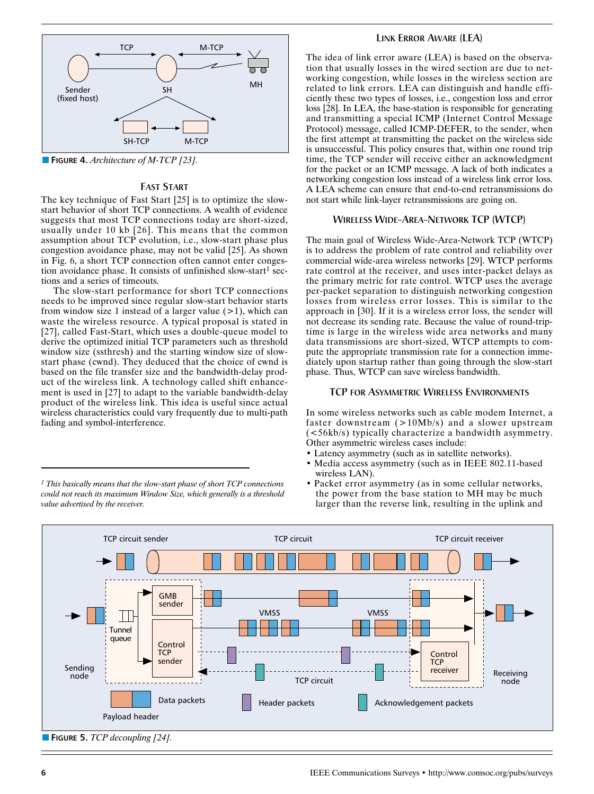

■ **FIGURE 4.** *Architecture of M-TCP [23].*

## **FAST START**

The key technique of Fast Start [25] is to optimize the slowstart behavior of short TCP connections. A wealth of evidence suggests that most TCP connections today are short-sized, usually under 10 kb [26]. This means that the common assumption about TCP evolution, i.e., slow-start phase plus congestion avoidance phase, may not be valid [25]. As shown in Fig. 6, a short TCP connection often cannot enter congestion avoidance phase. It consists of unfinished slow-start<sup>1</sup> sections and a series of timeouts.

The slow-start performance for short TCP connections needs to be improved since regular slow-start behavior starts from window size 1 instead of a larger value  $(>1)$ , which can waste the wireless resource. A typical proposal is stated in [27], called Fast-Start, which uses a double-queue model to derive the optimized initial TCP parameters such as threshold window size (ssthresh) and the starting window size of slowstart phase (cwnd). They deduced that the choice of cwnd is based on the file transfer size and the bandwidth-delay product of the wireless link. A technology called shift enhancement is used in [27] to adapt to the variable bandwidth-delay product of the wireless link. This idea is useful since actual wireless characteristics could vary frequently due to multi-path fading and symbol-interference.

*<sup>1</sup> This basically means that the slow-start phase of short TCP connections could not reach its maximum Window Size, which generally is a threshold value advertised by the receiver.*

#### **LINK ERROR AWARE (LEA)**

The idea of link error aware (LEA) is based on the observation that usually losses in the wired section are due to networking congestion, while losses in the wireless section are related to link errors. LEA can distinguish and handle efficiently these two types of losses, i.e., congestion loss and error loss [28]. In LEA, the base-station is responsible for generating and transmitting a special ICMP (Internet Control Message Protocol) message, called ICMP-DEFER, to the sender, when the first attempt at transmitting the packet on the wireless side is unsuccessful. This policy ensures that, within one round trip time, the TCP sender will receive either an acknowledgment for the packet or an ICMP message. A lack of both indicates a networking congestion loss instead of a wireless link error loss. A LEA scheme can ensure that end-to-end retransmissions do not start while link-layer retransmissions are going on.

#### **WIRELESS WIDE-AREA-NETWORK TCP (WTCP)**

The main goal of Wireless Wide-Area-Network TCP (WTCP) is to address the problem of rate control and reliability over commercial wide-area wireless networks [29]. WTCP performs rate control at the receiver, and uses inter-packet delays as the primary metric for rate control. WTCP uses the average per-packet separation to distinguish networking congestion losses from wireless error losses. This is similar to the approach in [30]. If it is a wireless error loss, the sender will not decrease its sending rate. Because the value of round-triptime is large in the wireless wide area networks and many data transmissions are short-sized, WTCP attempts to compute the appropriate transmission rate for a connection immediately upon startup rather than going through the slow-start phase. Thus, WTCP can save wireless bandwidth.

# **TCP FOR ASYMMETRIC WIRELESS ENVIRONMENTS**

In some wireless networks such as cable modem Internet, a faster downstream (>10Mb/s) and a slower upstream (<56kb/s) typically characterize a bandwidth asymmetry. Other asymmetric wireless cases include:

- Latency asymmetry (such as in satellite networks).
- Media access asymmetry (such as in IEEE 802.11-based wireless LAN).
- Packet error asymmetry (as in some cellular networks, the power from the base station to MH may be much larger than the reverse link, resulting in the uplink and

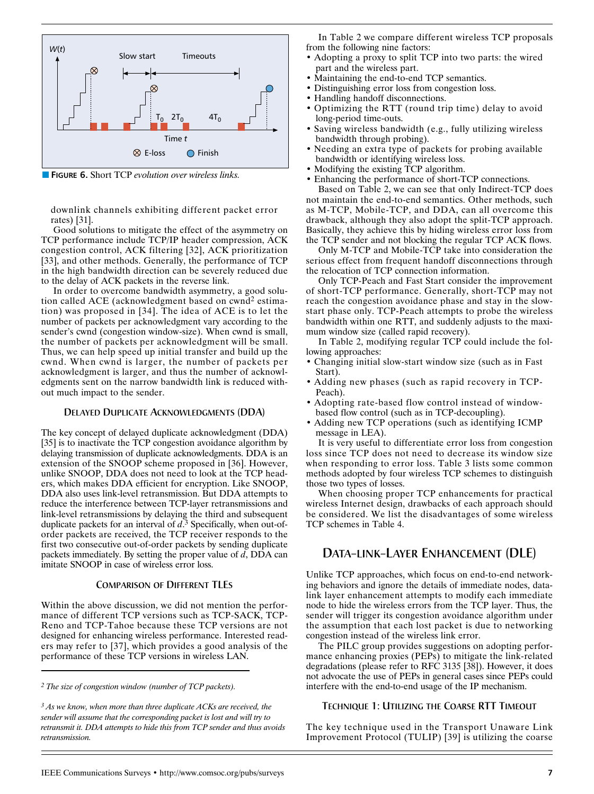

■ **FIGURE 6.** Short TCP *evolution over wireless links.*

downlink channels exhibiting different packet error rates) [31].

Good solutions to mitigate the effect of the asymmetry on TCP performance include TCP/IP header compression, ACK congestion control, ACK filtering [32], ACK prioritization [33], and other methods. Generally, the performance of TCP in the high bandwidth direction can be severely reduced due to the delay of ACK packets in the reverse link.

In order to overcome bandwidth asymmetry, a good solution called ACE (acknowledgment based on cwnd2 estimation) was proposed in [34]. The idea of ACE is to let the number of packets per acknowledgment vary according to the sender's cwnd (congestion window-size). When cwnd is small, the number of packets per acknowledgment will be small. Thus, we can help speed up initial transfer and build up the cwnd. When cwnd is larger, the number of packets per acknowledgment is larger, and thus the number of acknowledgments sent on the narrow bandwidth link is reduced without much impact to the sender.

#### **DELAYED DUPLICATE ACKNOWLEDGMENTS (DDA)**

The key concept of delayed duplicate acknowledgment (DDA) [35] is to inactivate the TCP congestion avoidance algorithm by delaying transmission of duplicate acknowledgments. DDA is an extension of the SNOOP scheme proposed in [36]. However, unlike SNOOP, DDA does not need to look at the TCP headers, which makes DDA efficient for encryption. Like SNOOP, DDA also uses link-level retransmission. But DDA attempts to reduce the interference between TCP-layer retransmissions and link-level retransmissions by delaying the third and subsequent duplicate packets for an interval of *d*. <sup>3</sup> Specifically, when out-oforder packets are received, the TCP receiver responds to the first two consecutive out-of-order packets by sending duplicate packets immediately. By setting the proper value of *d*, DDA can imitate SNOOP in case of wireless error loss.

#### **COMPARISON OF DIFFERENT TLES**

Within the above discussion, we did not mention the performance of different TCP versions such as TCP-SACK, TCP-Reno and TCP-Tahoe because these TCP versions are not designed for enhancing wireless performance. Interested readers may refer to [37], which provides a good analysis of the performance of these TCP versions in wireless LAN.

In Table 2 we compare different wireless TCP proposals from the following nine factors:

- Adopting a proxy to split TCP into two parts: the wired part and the wireless part.
- Maintaining the end-to-end TCP semantics.
- Distinguishing error loss from congestion loss.
- Handling handoff disconnections.
- Optimizing the RTT (round trip time) delay to avoid long-period time-outs.
- Saving wireless bandwidth (e.g., fully utilizing wireless bandwidth through probing).
- Needing an extra type of packets for probing available bandwidth or identifying wireless loss.
- Modifying the existing TCP algorithm.
- Enhancing the performance of short-TCP connections.

Based on Table 2, we can see that only Indirect-TCP does not maintain the end-to-end semantics. Other methods, such as M-TCP, Mobile-TCP, and DDA, can all overcome this drawback, although they also adopt the split-TCP approach. Basically, they achieve this by hiding wireless error loss from the TCP sender and not blocking the regular TCP ACK flows.

Only M-TCP and Mobile-TCP take into consideration the serious effect from frequent handoff disconnections through the relocation of TCP connection information.

Only TCP-Peach and Fast Start consider the improvement of short-TCP performance. Generally, short-TCP may not reach the congestion avoidance phase and stay in the slowstart phase only. TCP-Peach attempts to probe the wireless bandwidth within one RTT, and suddenly adjusts to the maximum window size (called rapid recovery).

In Table 2, modifying regular TCP could include the following approaches:

- Changing initial slow-start window size (such as in Fast Start).
- Adding new phases (such as rapid recovery in TCP-Peach).
- Adopting rate-based flow control instead of windowbased flow control (such as in TCP-decoupling).
- Adding new TCP operations (such as identifying ICMP message in LEA).

It is very useful to differentiate error loss from congestion loss since TCP does not need to decrease its window size when responding to error loss. Table 3 lists some common methods adopted by four wireless TCP schemes to distinguish those two types of losses.

When choosing proper TCP enhancements for practical wireless Internet design, drawbacks of each approach should be considered. We list the disadvantages of some wireless TCP schemes in Table 4.

# **DATA-LINK-LAYER ENHANCEMENT (DLE)**

Unlike TCP approaches, which focus on end-to-end networking behaviors and ignore the details of immediate nodes, datalink layer enhancement attempts to modify each immediate node to hide the wireless errors from the TCP layer. Thus, the sender will trigger its congestion avoidance algorithm under the assumption that each lost packet is due to networking congestion instead of the wireless link error.

The PILC group provides suggestions on adopting performance enhancing proxies (PEPs) to mitigate the link-related degradations (please refer to RFC 3135 [38]). However, it does not advocate the use of PEPs in general cases since PEPs could interfere with the end-to-end usage of the IP mechanism.

#### **TECHNIQUE 1: UTILIZING THE COARSE RTT TIMEOUT**

The key technique used in the Transport Unaware Link Improvement Protocol (TULIP) [39] is utilizing the coarse

*<sup>2</sup> The size of congestion window (number of TCP packets).*

*<sup>3</sup> As we know, when more than three duplicate ACKs are received, the sender will assume that the corresponding packet is lost and will try to retransmit it. DDA attempts to hide this from TCP sender and thus avoids retransmission.*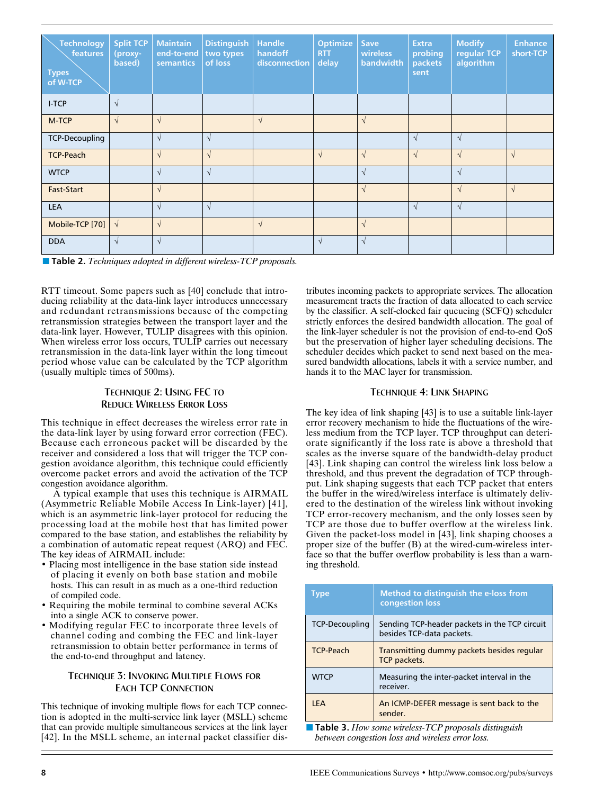| <b>Technology</b><br>features<br><b>Types</b><br>of W-TCP | <b>Split TCP</b><br>(proxy-<br>based) | <b>Maintain</b><br>end-to-end<br>semantics | <b>Distinguish</b><br>two types<br>of loss | <b>Handle</b><br>handoff<br>disconnection | <b>Optimize</b><br><b>RTT</b><br>delay | <b>Save</b><br>wireless<br>bandwidth | <b>Extra</b><br>probing<br>packets<br>sent | <b>Modify</b><br>regular TCP<br>algorithm | <b>Enhance</b><br>short-TCP |
|-----------------------------------------------------------|---------------------------------------|--------------------------------------------|--------------------------------------------|-------------------------------------------|----------------------------------------|--------------------------------------|--------------------------------------------|-------------------------------------------|-----------------------------|
| $I-TCP$                                                   | $\sqrt{ }$                            |                                            |                                            |                                           |                                        |                                      |                                            |                                           |                             |
| M-TCP                                                     | $\sqrt{ }$                            | $\sqrt{}$                                  |                                            | $\sqrt{ }$                                |                                        | $\sqrt{ }$                           |                                            |                                           |                             |
| <b>TCP-Decoupling</b>                                     |                                       | $\sqrt{ }$                                 | V                                          |                                           |                                        |                                      | $\sqrt{ }$                                 | $\sqrt{ }$                                |                             |
| <b>TCP-Peach</b>                                          |                                       | $\sqrt{}$                                  | $\sqrt{ }$                                 |                                           | $\sqrt{ }$                             | $\sqrt{ }$                           | $\sqrt{ }$                                 | $\sqrt{ }$                                | $\sqrt{ }$                  |
| <b>WTCP</b>                                               |                                       | $\sqrt{ }$                                 | $\sqrt{ }$                                 |                                           |                                        | $\sqrt{ }$                           |                                            | $\sqrt{ }$                                |                             |
| <b>Fast-Start</b>                                         |                                       | $\sqrt{ }$                                 |                                            |                                           |                                        | $\sqrt{ }$                           |                                            | $\sqrt{ }$                                | $\sqrt{ }$                  |
| <b>LEA</b>                                                |                                       | $\sqrt{ }$                                 | $\sqrt{ }$                                 |                                           |                                        |                                      | $\sqrt{ }$                                 | $\sqrt{ }$                                |                             |
| Mobile-TCP [70]                                           | $\sqrt{}$                             | $\sqrt{}$                                  |                                            | $\sqrt{ }$                                |                                        | $\sqrt{ }$                           |                                            |                                           |                             |
| <b>DDA</b>                                                | $\sqrt{ }$                            | $\sqrt{ }$                                 |                                            |                                           | $\sqrt{ }$                             | $\sqrt{ }$                           |                                            |                                           |                             |

■ **Table 2.** *Techniques adopted in different wireless-TCP proposals.* 

RTT timeout. Some papers such as [40] conclude that introducing reliability at the data-link layer introduces unnecessary and redundant retransmissions because of the competing retransmission strategies between the transport layer and the data-link layer. However, TULIP disagrees with this opinion. When wireless error loss occurs, TULIP carries out necessary retransmission in the data-link layer within the long timeout period whose value can be calculated by the TCP algorithm (usually multiple times of 500ms).

# **TECHNIQUE 2: USING FEC TO REDUCE WIRELESS ERROR LOSS**

This technique in effect decreases the wireless error rate in the data-link layer by using forward error correction (FEC). Because each erroneous packet will be discarded by the receiver and considered a loss that will trigger the TCP congestion avoidance algorithm, this technique could efficiently overcome packet errors and avoid the activation of the TCP congestion avoidance algorithm.

A typical example that uses this technique is AIRMAIL (Asymmetric Reliable Mobile Access In Link-layer) [41], which is an asymmetric link-layer protocol for reducing the processing load at the mobile host that has limited power compared to the base station, and establishes the reliability by a combination of automatic repeat request (ARQ) and FEC. The key ideas of AIRMAIL include:

- Placing most intelligence in the base station side instead of placing it evenly on both base station and mobile hosts. This can result in as much as a one-third reduction of compiled code.
- Requiring the mobile terminal to combine several ACKs into a single ACK to conserve power.
- Modifying regular FEC to incorporate three levels of channel coding and combing the FEC and link-layer retransmission to obtain better performance in terms of the end-to-end throughput and latency.

# **TECHNIQUE 3: INVOKING MULTIPLE FLOWS FOR EACH TCP CONNECTION**

This technique of invoking multiple flows for each TCP connection is adopted in the multi-service link layer (MSLL) scheme that can provide multiple simultaneous services at the link layer [42]. In the MSLL scheme, an internal packet classifier dis-

tributes incoming packets to appropriate services. The allocation measurement tracts the fraction of data allocated to each service by the classifier. A self-clocked fair queueing (SCFQ) scheduler strictly enforces the desired bandwidth allocation. The goal of the link-layer scheduler is not the provision of end-to-end QoS but the preservation of higher layer scheduling decisions. The scheduler decides which packet to send next based on the measured bandwidth allocations, labels it with a service number, and hands it to the MAC layer for transmission.

# **TECHNIQUE 4: LINK SHAPING**

The key idea of link shaping [43] is to use a suitable link-layer error recovery mechanism to hide the fluctuations of the wireless medium from the TCP layer. TCP throughput can deteriorate significantly if the loss rate is above a threshold that scales as the inverse square of the bandwidth-delay product [43]. Link shaping can control the wireless link loss below a threshold, and thus prevent the degradation of TCP throughput. Link shaping suggests that each TCP packet that enters the buffer in the wired/wireless interface is ultimately delivered to the destination of the wireless link without invoking TCP error-recovery mechanism, and the only losses seen by TCP are those due to buffer overflow at the wireless link. Given the packet-loss model in [43], link shaping chooses a proper size of the buffer (B) at the wired-cum-wireless interface so that the buffer overflow probability is less than a warning threshold.

| <b>Type</b>                                                 | <b>Method to distinguish the e-loss from</b><br>congestion loss            |  |
|-------------------------------------------------------------|----------------------------------------------------------------------------|--|
| <b>TCP-Decoupling</b>                                       | Sending TCP-header packets in the TCP circuit<br>besides TCP-data packets. |  |
| <b>TCP-Peach</b>                                            | Transmitting dummy packets besides regular<br>TCP packets.                 |  |
| <b>WTCP</b>                                                 | Measuring the inter-packet interval in the<br>receiver.                    |  |
| <b>LEA</b>                                                  | An ICMP-DEFER message is sent back to the<br>sender.                       |  |
| <b>Table 3.</b> How some wireless-TCP proposals distinguish |                                                                            |  |

■ **Table 3.** *How some wireless-TCP proposals distinguish between congestion loss and wireless error loss.*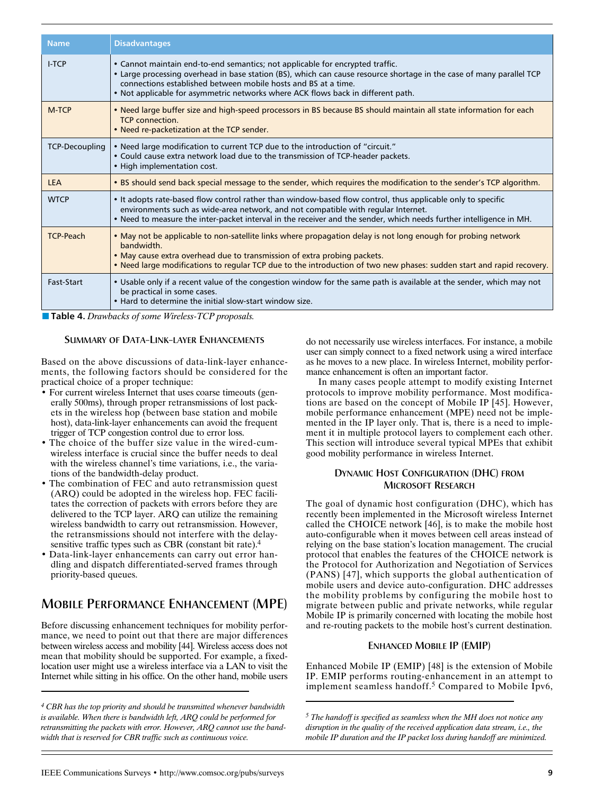| <b>Name</b>           | <b>Disadvantages</b>                                                                                                                                                                                                                                                                                                                                        |
|-----------------------|-------------------------------------------------------------------------------------------------------------------------------------------------------------------------------------------------------------------------------------------------------------------------------------------------------------------------------------------------------------|
| I-TCP                 | • Cannot maintain end-to-end semantics; not applicable for encrypted traffic.<br>• Large processing overhead in base station (BS), which can cause resource shortage in the case of many parallel TCP<br>connections established between mobile hosts and BS at a time.<br>. Not applicable for asymmetric networks where ACK flows back in different path. |
| M-TCP                 | . Need large buffer size and high-speed processors in BS because BS should maintain all state information for each<br>TCP connection.<br>. Need re-packetization at the TCP sender.                                                                                                                                                                         |
| <b>TCP-Decoupling</b> | • Need large modification to current TCP due to the introduction of "circuit."<br>• Could cause extra network load due to the transmission of TCP-header packets.<br>• High implementation cost.                                                                                                                                                            |
| <b>LEA</b>            | . BS should send back special message to the sender, which requires the modification to the sender's TCP algorithm.                                                                                                                                                                                                                                         |
| <b>WTCP</b>           | • It adopts rate-based flow control rather than window-based flow control, thus applicable only to specific<br>environments such as wide-area network, and not compatible with regular Internet.<br>. Need to measure the inter-packet interval in the receiver and the sender, which needs further intelligence in MH.                                     |
| <b>TCP-Peach</b>      | • May not be applicable to non-satellite links where propagation delay is not long enough for probing network<br>bandwidth.<br>. May cause extra overhead due to transmission of extra probing packets.<br>• Need large modifications to regular TCP due to the introduction of two new phases: sudden start and rapid recovery.                            |
| Fast-Start            | • Usable only if a recent value of the congestion window for the same path is available at the sender, which may not<br>be practical in some cases.<br>• Hard to determine the initial slow-start window size.                                                                                                                                              |

■ **Table 4.** *Drawbacks of some Wireless-TCP proposals.* 

#### **SUMMARY OF DATA-LINK-LAYER ENHANCEMENTS**

Based on the above discussions of data-link-layer enhancements, the following factors should be considered for the practical choice of a proper technique:

- For current wireless Internet that uses coarse timeouts (generally 500ms), through proper retransmissions of lost packets in the wireless hop (between base station and mobile host), data-link-layer enhancements can avoid the frequent trigger of TCP congestion control due to error loss.
- The choice of the buffer size value in the wired-cumwireless interface is crucial since the buffer needs to deal with the wireless channel's time variations, i.e., the variations of the bandwidth-delay product.
- The combination of FEC and auto retransmission quest (ARQ) could be adopted in the wireless hop. FEC facilitates the correction of packets with errors before they are delivered to the TCP layer. ARQ can utilize the remaining wireless bandwidth to carry out retransmission. However, the retransmissions should not interfere with the delaysensitive traffic types such as CBR (constant bit rate).<sup>4</sup>
- Data-link-layer enhancements can carry out error handling and dispatch differentiated-served frames through priority-based queues.

# **MOBILE PERFORMANCE ENHANCEMENT (MPE)**

Before discussing enhancement techniques for mobility performance, we need to point out that there are major differences between wireless access and mobility [44]. Wireless access does not mean that mobility should be supported. For example, a fixedlocation user might use a wireless interface via a LAN to visit the Internet while sitting in his office. On the other hand, mobile users do not necessarily use wireless interfaces. For instance, a mobile user can simply connect to a fixed network using a wired interface as he moves to a new place. In wireless Internet, mobility performance enhancement is often an important factor.

In many cases people attempt to modify existing Internet protocols to improve mobility performance. Most modifications are based on the concept of Mobile IP [45]. However, mobile performance enhancement (MPE) need not be implemented in the IP layer only. That is, there is a need to implement it in multiple protocol layers to complement each other. This section will introduce several typical MPEs that exhibit good mobility performance in wireless Internet.

# **DYNAMIC HOST CONFIGURATION (DHC) FROM MICROSOFT RESEARCH**

The goal of dynamic host configuration (DHC), which has recently been implemented in the Microsoft wireless Internet called the CHOICE network [46], is to make the mobile host auto-configurable when it moves between cell areas instead of relying on the base station's location management. The crucial protocol that enables the features of the CHOICE network is the Protocol for Authorization and Negotiation of Services (PANS) [47], which supports the global authentication of mobile users and device auto-configuration. DHC addresses the mobility problems by configuring the mobile host to migrate between public and private networks, while regular Mobile IP is primarily concerned with locating the mobile host and re-routing packets to the mobile host's current destination.

## **ENHANCED MOBILE IP (EMIP)**

Enhanced Mobile IP (EMIP) [48] is the extension of Mobile IP. EMIP performs routing-enhancement in an attempt to implement seamless handoff.5 Compared to Mobile Ipv6,

*<sup>5</sup> The handoff is specified as seamless when the MH does not notice any disruption in the quality of the received application data stream, i.e., the mobile IP duration and the IP packet loss during handoff are minimized.*

*<sup>4</sup> CBR has the top priority and should be transmitted whenever bandwidth is available. When there is bandwidth left, ARQ could be performed for retransmitting the packets with error. However, ARQ cannot use the bandwidth that is reserved for CBR traffic such as continuous voice.*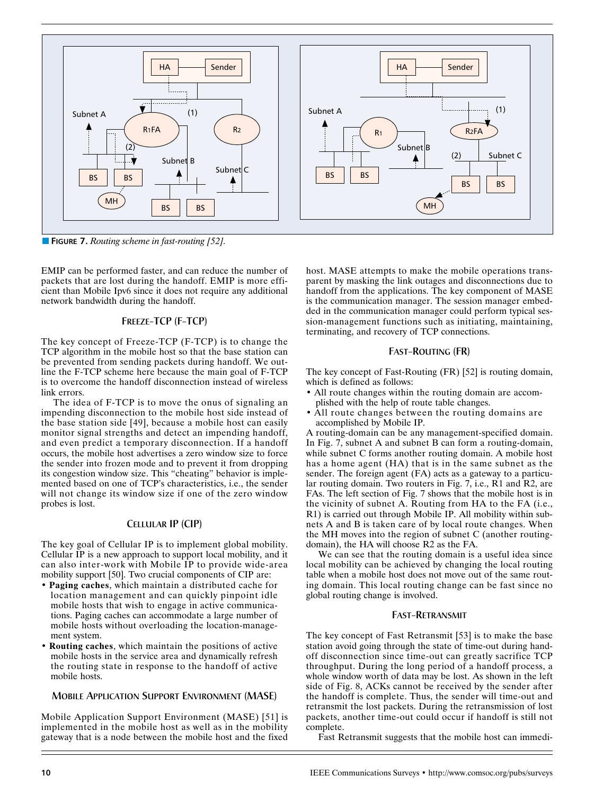

■ **FIGURE 7.** *Routing scheme in fast-routing [52].*

EMIP can be performed faster, and can reduce the number of packets that are lost during the handoff. EMIP is more efficient than Mobile Ipv6 since it does not require any additional network bandwidth during the handoff.

# **FREEZE-TCP (F-TCP)**

The key concept of Freeze-TCP (F-TCP) is to change the TCP algorithm in the mobile host so that the base station can be prevented from sending packets during handoff. We outline the F-TCP scheme here because the main goal of F-TCP is to overcome the handoff disconnection instead of wireless link errors.

The idea of F-TCP is to move the onus of signaling an impending disconnection to the mobile host side instead of the base station side [49], because a mobile host can easily monitor signal strengths and detect an impending handoff, and even predict a temporary disconnection. If a handoff occurs, the mobile host advertises a zero window size to force the sender into frozen mode and to prevent it from dropping its congestion window size. This "cheating" behavior is implemented based on one of TCP's characteristics, i.e., the sender will not change its window size if one of the zero window probes is lost.

# **CELLULAR IP (CIP)**

The key goal of Cellular IP is to implement global mobility. Cellular IP is a new approach to support local mobility, and it can also inter-work with Mobile IP to provide wide-area mobility support [50]. Two crucial components of CIP are:

- **Paging caches**, which maintain a distributed cache for location management and can quickly pinpoint idle mobile hosts that wish to engage in active communications. Paging caches can accommodate a large number of mobile hosts without overloading the location-management system.
- **Routing caches**, which maintain the positions of active mobile hosts in the service area and dynamically refresh the routing state in response to the handoff of active mobile hosts.

## **MOBILE APPLICATION SUPPORT ENVIRONMENT (MASE)**

Mobile Application Support Environment (MASE) [51] is implemented in the mobile host as well as in the mobility gateway that is a node between the mobile host and the fixed

host. MASE attempts to make the mobile operations transparent by masking the link outages and disconnections due to handoff from the applications. The key component of MASE is the communication manager. The session manager embedded in the communication manager could perform typical session-management functions such as initiating, maintaining, terminating, and recovery of TCP connections.

# **FAST-ROUTING (FR)**

The key concept of Fast-Routing (FR) [52] is routing domain, which is defined as follows:

- All route changes within the routing domain are accomplished with the help of route table changes.
- All route changes between the routing domains are accomplished by Mobile IP.

A routing-domain can be any management-specified domain. In Fig. 7, subnet A and subnet B can form a routing-domain, while subnet C forms another routing domain. A mobile host has a home agent (HA) that is in the same subnet as the sender. The foreign agent (FA) acts as a gateway to a particular routing domain. Two routers in Fig. 7, i.e., R1 and R2, are FAs. The left section of Fig. 7 shows that the mobile host is in the vicinity of subnet A. Routing from HA to the FA (i.e., R1) is carried out through Mobile IP. All mobility within subnets A and B is taken care of by local route changes. When the MH moves into the region of subnet C (another routingdomain), the HA will choose R2 as the FA.

We can see that the routing domain is a useful idea since local mobility can be achieved by changing the local routing table when a mobile host does not move out of the same routing domain. This local routing change can be fast since no global routing change is involved.

# **FAST-RETRANSMIT**

The key concept of Fast Retransmit [53] is to make the base station avoid going through the state of time-out during handoff disconnection since time-out can greatly sacrifice TCP throughput. During the long period of a handoff process, a whole window worth of data may be lost. As shown in the left side of Fig. 8, ACKs cannot be received by the sender after the handoff is complete. Thus, the sender will time-out and retransmit the lost packets. During the retransmission of lost packets, another time-out could occur if handoff is still not complete.

Fast Retransmit suggests that the mobile host can immedi-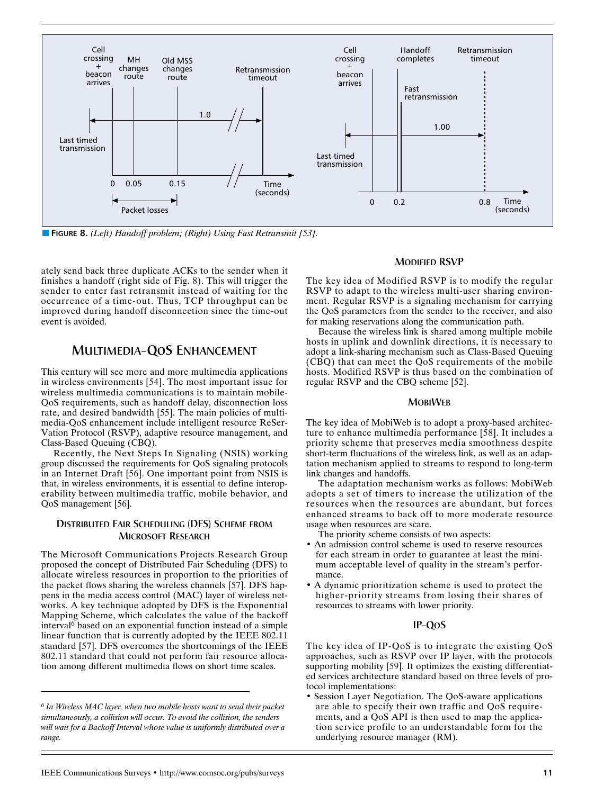

■ **FIGURE 8.** *(Left) Handoff problem; (Right) Using Fast Retransmit [53].*

ately send back three duplicate ACKs to the sender when it finishes a handoff (right side of Fig. 8). This will trigger the sender to enter fast retransmit instead of waiting for the occurrence of a time-out. Thus, TCP throughput can be improved during handoff disconnection since the time-out event is avoided.

# **MULTIMEDIA-QOS ENHANCEMENT**

This century will see more and more multimedia applications in wireless environments [54]. The most important issue for wireless multimedia communications is to maintain mobile-QoS requirements, such as handoff delay, disconnection loss rate, and desired bandwidth [55]. The main policies of multimedia-QoS enhancement include intelligent resource ReSer-Vation Protocol (RSVP), adaptive resource management, and Class-Based Queuing (CBQ).

Recently, the Next Steps In Signaling (NSIS) working group discussed the requirements for QoS signaling protocols in an Internet Draft [56]. One important point from NSIS is that, in wireless environments, it is essential to define interoperability between multimedia traffic, mobile behavior, and QoS management [56].

# **DISTRIBUTED FAIR SCHEDULING (DFS) SCHEME FROM MICROSOFT RESEARCH**

The Microsoft Communications Projects Research Group proposed the concept of Distributed Fair Scheduling (DFS) to allocate wireless resources in proportion to the priorities of the packet flows sharing the wireless channels [57]. DFS happens in the media access control (MAC) layer of wireless networks. A key technique adopted by DFS is the Exponential Mapping Scheme, which calculates the value of the backoff interval6 based on an exponential function instead of a simple linear function that is currently adopted by the IEEE 802.11 standard [57]. DFS overcomes the shortcomings of the IEEE 802.11 standard that could not perform fair resource allocation among different multimedia flows on short time scales.

# **MODIFIED RSVP**

The key idea of Modified RSVP is to modify the regular RSVP to adapt to the wireless multi-user sharing environment. Regular RSVP is a signaling mechanism for carrying the QoS parameters from the sender to the receiver, and also for making reservations along the communication path.

Because the wireless link is shared among multiple mobile hosts in uplink and downlink directions, it is necessary to adopt a link-sharing mechanism such as Class-Based Queuing (CBQ) that can meet the QoS requirements of the mobile hosts. Modified RSVP is thus based on the combination of regular RSVP and the CBQ scheme [52].

#### **MOBIWEB**

The key idea of MobiWeb is to adopt a proxy-based architecture to enhance multimedia performance [58]. It includes a priority scheme that preserves media smoothness despite short-term fluctuations of the wireless link, as well as an adaptation mechanism applied to streams to respond to long-term link changes and handoffs.

The adaptation mechanism works as follows: MobiWeb adopts a set of timers to increase the utilization of the resources when the resources are abundant, but forces enhanced streams to back off to more moderate resource usage when resources are scare.

The priority scheme consists of two aspects:

- An admission control scheme is used to reserve resources for each stream in order to guarantee at least the minimum acceptable level of quality in the stream's performance.
- A dynamic prioritization scheme is used to protect the higher-priority streams from losing their shares of resources to streams with lower priority.

## **IP-QOS**

The key idea of IP-QoS is to integrate the existing QoS approaches, such as RSVP over IP layer, with the protocols supporting mobility [59]. It optimizes the existing differentiated services architecture standard based on three levels of protocol implementations:

• Session Layer Negotiation. The QoS-aware applications are able to specify their own traffic and QoS requirements, and a QoS API is then used to map the application service profile to an understandable form for the underlying resource manager (RM).

*<sup>6</sup> In Wireless MAC layer, when two mobile hosts want to send their packet simultaneously, a collision will occur. To avoid the collision, the senders will wait for a Backoff Interval whose value is uniformly distributed over a range.*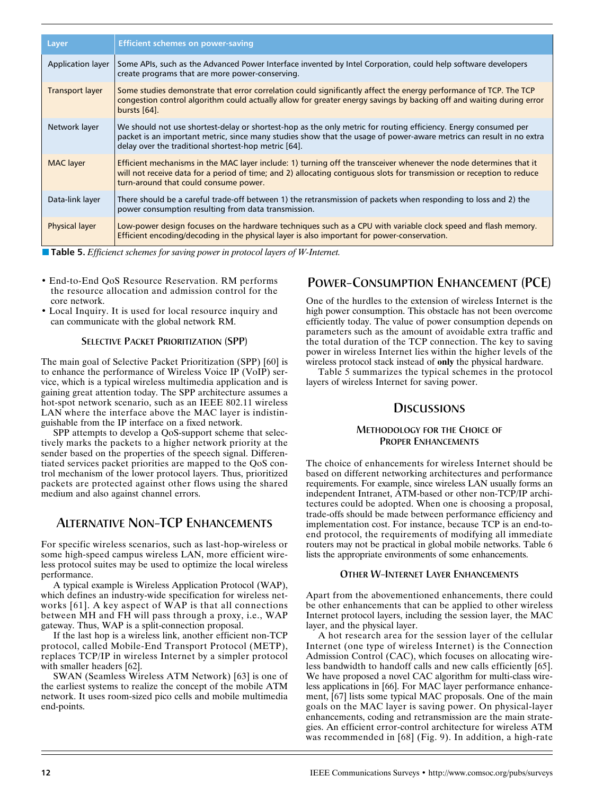| Layer                    | <b>Efficient schemes on power-saving</b>                                                                                                                                                                                                                                                       |
|--------------------------|------------------------------------------------------------------------------------------------------------------------------------------------------------------------------------------------------------------------------------------------------------------------------------------------|
| <b>Application layer</b> | Some APIs, such as the Advanced Power Interface invented by Intel Corporation, could help software developers<br>create programs that are more power-conserving.                                                                                                                               |
| <b>Transport layer</b>   | Some studies demonstrate that error correlation could significantly affect the energy performance of TCP. The TCP<br>congestion control algorithm could actually allow for greater energy savings by backing off and waiting during error<br>bursts $[64]$ .                                   |
| Network layer            | We should not use shortest-delay or shortest-hop as the only metric for routing efficiency. Energy consumed per<br>packet is an important metric, since many studies show that the usage of power-aware metrics can result in no extra<br>delay over the traditional shortest-hop metric [64]. |
| <b>MAC</b> layer         | Efficient mechanisms in the MAC layer include: 1) turning off the transceiver whenever the node determines that it<br>will not receive data for a period of time; and 2) allocating contiguous slots for transmission or reception to reduce<br>turn-around that could consume power.          |
| Data-link layer          | There should be a careful trade-off between 1) the retransmission of packets when responding to loss and 2) the<br>power consumption resulting from data transmission.                                                                                                                         |
| <b>Physical layer</b>    | Low-power design focuses on the hardware techniques such as a CPU with variable clock speed and flash memory.<br>Efficient encoding/decoding in the physical layer is also important for power-conservation.                                                                                   |

■ **Table 5.** *Efficienct schemes for saving power in protocol layers of W-Internet.* 

- End-to-End QoS Resource Reservation. RM performs the resource allocation and admission control for the core network.
- Local Inquiry. It is used for local resource inquiry and can communicate with the global network RM.

## **SELECTIVE PACKET PRIORITIZATION (SPP)**

The main goal of Selective Packet Prioritization (SPP) [60] is to enhance the performance of Wireless Voice IP (VoIP) service, which is a typical wireless multimedia application and is gaining great attention today. The SPP architecture assumes a hot-spot network scenario, such as an IEEE 802.11 wireless LAN where the interface above the MAC layer is indistinguishable from the IP interface on a fixed network.

SPP attempts to develop a QoS-support scheme that selectively marks the packets to a higher network priority at the sender based on the properties of the speech signal. Differentiated services packet priorities are mapped to the QoS control mechanism of the lower protocol layers. Thus, prioritized packets are protected against other flows using the shared medium and also against channel errors.

# **ALTERNATIVE NON-TCP ENHANCEMENTS**

For specific wireless scenarios, such as last-hop-wireless or some high-speed campus wireless LAN, more efficient wireless protocol suites may be used to optimize the local wireless performance.

A typical example is Wireless Application Protocol (WAP), which defines an industry-wide specification for wireless networks [61]. A key aspect of WAP is that all connections between MH and FH will pass through a proxy, i.e., WAP gateway. Thus, WAP is a split-connection proposal.

If the last hop is a wireless link, another efficient non-TCP protocol, called Mobile-End Transport Protocol (METP), replaces TCP/IP in wireless Internet by a simpler protocol with smaller headers [62].

SWAN (Seamless Wireless ATM Network) [63] is one of the earliest systems to realize the concept of the mobile ATM network. It uses room-sized pico cells and mobile multimedia end-points.

# **POWER-CONSUMPTION ENHANCEMENT (PCE)**

One of the hurdles to the extension of wireless Internet is the high power consumption. This obstacle has not been overcome efficiently today. The value of power consumption depends on parameters such as the amount of avoidable extra traffic and the total duration of the TCP connection. The key to saving power in wireless Internet lies within the higher levels of the wireless protocol stack instead of **only** the physical hardware.

Table 5 summarizes the typical schemes in the protocol layers of wireless Internet for saving power.

# **DISCUSSIONS**

# **METHODOLOGY FOR THE CHOICE OF PROPER ENHANCEMENTS**

The choice of enhancements for wireless Internet should be based on different networking architectures and performance requirements. For example, since wireless LAN usually forms an independent Intranet, ATM-based or other non-TCP/IP architectures could be adopted. When one is choosing a proposal, trade-offs should be made between performance efficiency and implementation cost. For instance, because TCP is an end-toend protocol, the requirements of modifying all immediate routers may not be practical in global mobile networks. Table 6 lists the appropriate environments of some enhancements.

# **OTHER W-INTERNET LAYER ENHANCEMENTS**

Apart from the abovementioned enhancements, there could be other enhancements that can be applied to other wireless Internet protocol layers, including the session layer, the MAC layer, and the physical layer.

A hot research area for the session layer of the cellular Internet (one type of wireless Internet) is the Connection Admission Control (CAC), which focuses on allocating wireless bandwidth to handoff calls and new calls efficiently [65]. We have proposed a novel CAC algorithm for multi-class wireless applications in [66]. For MAC layer performance enhancement, [67] lists some typical MAC proposals. One of the main goals on the MAC layer is saving power. On physical-layer enhancements, coding and retransmission are the main strategies. An efficient error-control architecture for wireless ATM was recommended in [68] (Fig. 9). In addition, a high-rate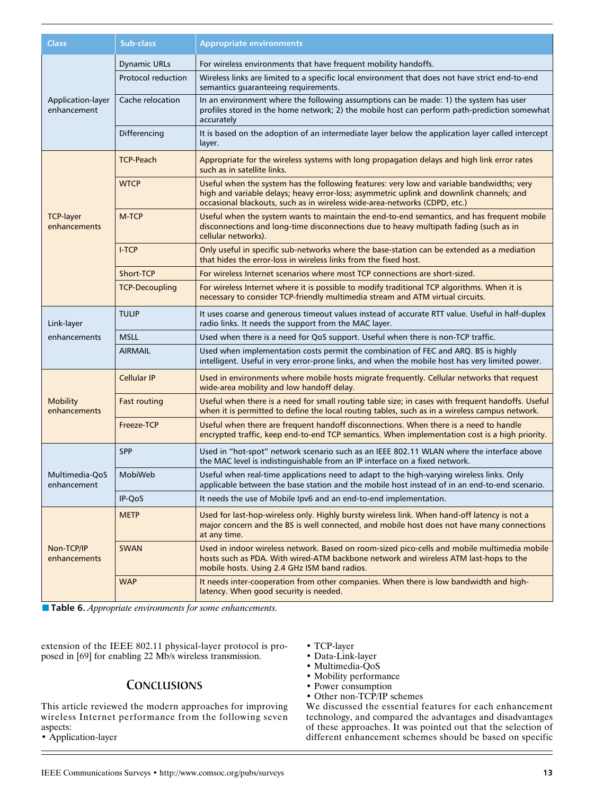| Class                            | <b>Sub-class</b>      | <b>Appropriate environments</b>                                                                                                                                                                                                                                    |
|----------------------------------|-----------------------|--------------------------------------------------------------------------------------------------------------------------------------------------------------------------------------------------------------------------------------------------------------------|
|                                  | <b>Dynamic URLs</b>   | For wireless environments that have frequent mobility handoffs.                                                                                                                                                                                                    |
|                                  | Protocol reduction    | Wireless links are limited to a specific local environment that does not have strict end-to-end<br>semantics guaranteeing requirements.                                                                                                                            |
| Application-layer<br>enhancement | Cache relocation      | In an environment where the following assumptions can be made: 1) the system has user<br>profiles stored in the home network; 2) the mobile host can perform path-prediction somewhat<br>accurately                                                                |
|                                  | Differencing          | It is based on the adoption of an intermediate layer below the application layer called intercept<br>layer.                                                                                                                                                        |
|                                  | TCP-Peach             | Appropriate for the wireless systems with long propagation delays and high link error rates<br>such as in satellite links.                                                                                                                                         |
|                                  | <b>WTCP</b>           | Useful when the system has the following features: very low and variable bandwidths; very<br>high and variable delays; heavy error-loss; asymmetric uplink and downlink channels; and<br>occasional blackouts, such as in wireless wide-area-networks (CDPD, etc.) |
| <b>TCP-layer</b><br>enhancements | M-TCP                 | Useful when the system wants to maintain the end-to-end semantics, and has frequent mobile<br>disconnections and long-time disconnections due to heavy multipath fading (such as in<br>cellular networks).                                                         |
|                                  | I-TCP                 | Only useful in specific sub-networks where the base-station can be extended as a mediation<br>that hides the error-loss in wireless links from the fixed host.                                                                                                     |
|                                  | Short-TCP             | For wireless Internet scenarios where most TCP connections are short-sized.                                                                                                                                                                                        |
|                                  | <b>TCP-Decoupling</b> | For wireless Internet where it is possible to modify traditional TCP algorithms. When it is<br>necessary to consider TCP-friendly multimedia stream and ATM virtual circuits.                                                                                      |
| Link-layer                       | <b>TULIP</b>          | It uses coarse and generous timeout values instead of accurate RTT value. Useful in half-duplex<br>radio links. It needs the support from the MAC layer.                                                                                                           |
| enhancements                     | <b>MSLL</b>           | Used when there is a need for QoS support. Useful when there is non-TCP traffic.                                                                                                                                                                                   |
|                                  | <b>AIRMAIL</b>        | Used when implementation costs permit the combination of FEC and ARQ. BS is highly<br>intelligent. Useful in very error-prone links, and when the mobile host has very limited power.                                                                              |
|                                  | <b>Cellular IP</b>    | Used in environments where mobile hosts migrate frequently. Cellular networks that request<br>wide-area mobility and low handoff delay.                                                                                                                            |
| <b>Mobility</b><br>enhancements  | <b>Fast routing</b>   | Useful when there is a need for small routing table size; in cases with frequent handoffs. Useful<br>when it is permitted to define the local routing tables, such as in a wireless campus network.                                                                |
|                                  | Freeze-TCP            | Useful when there are frequent handoff disconnections. When there is a need to handle<br>encrypted traffic, keep end-to-end TCP semantics. When implementation cost is a high priority.                                                                            |
|                                  | <b>SPP</b>            | Used in "hot-spot" network scenario such as an IEEE 802.11 WLAN where the interface above<br>the MAC level is indistinguishable from an IP interface on a fixed network.                                                                                           |
| Multimedia-QoS<br>enhancement    | MobiWeb               | Useful when real-time applications need to adapt to the high-varying wireless links. Only<br>applicable between the base station and the mobile host instead of in an end-to-end scenario.                                                                         |
|                                  | IP-QoS                | It needs the use of Mobile Ipv6 and an end-to-end implementation.                                                                                                                                                                                                  |
|                                  | <b>METP</b>           | Used for last-hop-wireless only. Highly bursty wireless link. When hand-off latency is not a<br>major concern and the BS is well connected, and mobile host does not have many connections<br>at any time.                                                         |
| Non-TCP/IP<br>enhancements       | <b>SWAN</b>           | Used in indoor wireless network. Based on room-sized pico-cells and mobile multimedia mobile<br>hosts such as PDA. With wired-ATM backbone network and wireless ATM last-hops to the<br>mobile hosts. Using 2.4 GHz ISM band radios.                               |
|                                  | <b>WAP</b>            | It needs inter-cooperation from other companies. When there is low bandwidth and high-<br>latency. When good security is needed.                                                                                                                                   |

■ **Table 6.** *Appropriate environments for some enhancements.* 

extension of the IEEE 802.11 physical-layer protocol is proposed in [69] for enabling 22 Mb/s wireless transmission.

# **CONCLUSIONS**

This article reviewed the modern approaches for improving wireless Internet performance from the following seven aspects: • Application-layer

- TCP-layer
- Data-Link-layer
- Multimedia-QoS
- Mobility performance
- Power consumption
- Other non-TCP/IP schemes

We discussed the essential features for each enhancement technology, and compared the advantages and disadvantages of these approaches. It was pointed out that the selection of different enhancement schemes should be based on specific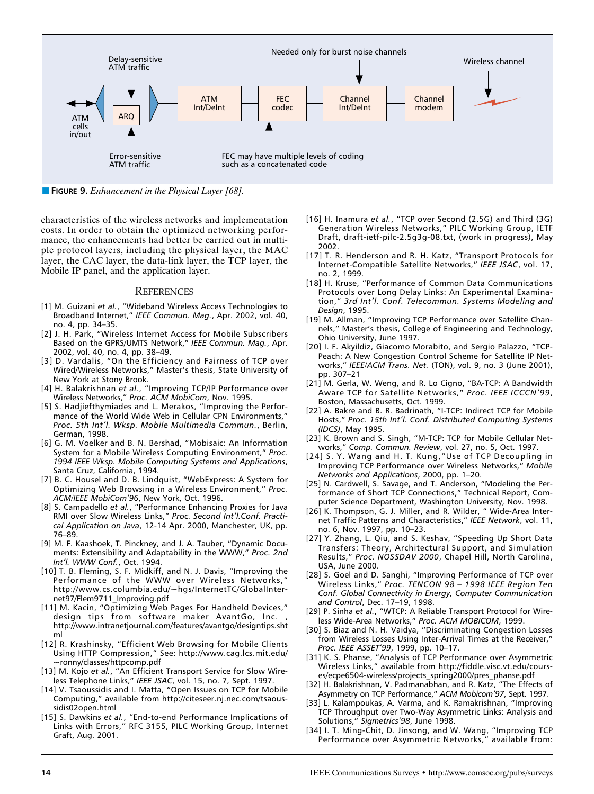

■ **FIGURE 9.** *Enhancement in the Physical Layer [68]*.

characteristics of the wireless networks and implementation costs. In order to obtain the optimized networking performance, the enhancements had better be carried out in multiple protocol layers, including the physical layer, the MAC layer, the CAC layer, the data-link layer, the TCP layer, the Mobile IP panel, and the application layer.

#### **REFERENCES**

- [1] M. Guizani *et al.*, "Wideband Wireless Access Technologies to Broadband Internet," *IEEE Commun. Mag.*, Apr. 2002, vol. 40, no. 4, pp. 34–35.
- [2] J. H. Park, "Wireless Internet Access for Mobile Subscribers Based on the GPRS/UMTS Network," *IEEE Commun. Mag.*, Apr. 2002, vol. 40, no. 4, pp. 38–49.
- [3] D. Vardalis, "On the Efficiency and Fairness of TCP over Wired/Wireless Networks," Master's thesis, State University of New York at Stony Brook.
- [4] H. Balakrishnan *et al.*, "Improving TCP/IP Performance over Wireless Networks," *Proc. ACM MobiCom*, Nov. 1995.
- [5] S. Hadjiefthymiades and L. Merakos, "Improving the Performance of the World Wide Web in Cellular CPN Environments," *Proc. 5th Int'l. Wksp. Mobile Multimedia Commun.*, Berlin, German, 1998.
- [6] G. M. Voelker and B. N. Bershad, "Mobisaic: An Information System for a Mobile Wireless Computing Environment," *Proc. 1994 IEEE Wksp. Mobile Computing Systems and Applications*, Santa Cruz, California, 1994.
- [7] B. C. Housel and D. B. Lindquist, "WebExpress: A System for Optimizing Web Browsing in a Wireless Environment," *Proc. ACM/IEEE MobiCom'96*, New York, Oct. 1996.
- [8] S. Campadello *et al.*, "Performance Enhancing Proxies for Java RMI over Slow Wireless Links," *Proc. Second Int'l.Conf. Practical Application on Java*, 12-14 Apr. 2000, Manchester, UK, pp. 76–89.
- [9] M. F. Kaashoek, T. Pinckney, and J. A. Tauber, "Dynamic Documents: Extensibility and Adaptability in the WWW," *Proc. 2nd Int'l. WWW Conf.*, Oct. 1994.
- [10] T. B. Fleming, S. F. Midkiff, and N. J. Davis, "Improving the Performance of the WWW over Wireless Networks," http://www.cs.columbia.edu/~hgs/InternetTC/GlobalInternet97/Flem9711\_Improving.pdf
- [11] M. Kacin, "Optimizing Web Pages For Handheld Devices," design tips from software maker AvantGo, Inc. http://www.intranetjournal.com/features/avantgo/designtips.sht ml
- [12] R. Krashinsky, "Efficient Web Browsing for Mobile Clients Using HTTP Compression," See: http://www.cag.lcs.mit.edu/ ~ronny/classes/httpcomp.pdf
- [13] M. Kojo *et al.*, "An Efficient Transport Service for Slow Wireless Telephone Links," *IEEE JSAC*, vol. 15, no. 7, Sept. 1997.
- [14] V. Tsaoussidis and I. Matta, "Open Issues on TCP for Mobile Computing," available from http://citeseer.nj.nec.com/tsaoussidis02open.html
- [15] S. Dawkins *et al.*, "End-to-end Performance Implications of Links with Errors," RFC 3155, PILC Working Group, Internet Graft, Aug. 2001.
- [16] H. Inamura *et al.*, "TCP over Second (2.5G) and Third (3G) Generation Wireless Networks," PILC Working Group, IETF Draft, draft-ietf-pilc-2.5g3g-08.txt, (work in progress), May 2002.
- [17] T. R. Henderson and R. H. Katz, "Transport Protocols for Internet-Compatible Satellite Networks," *IEEE JSAC*, vol. 17, no. 2, 1999.
- [18] H. Kruse, "Performance of Common Data Communications Protocols over Long Delay Links: An Experimental Examination," *3rd Int'l. Conf. Telecommun. Systems Modeling and Design*, 1995.
- [19] M. Allman, "Improving TCP Performance over Satellite Channels," Master's thesis, College of Engineering and Technology, Ohio University, June 1997.
- [20] I. F. Akyildiz, Giacomo Morabito, and Sergio Palazzo, "TCP-Peach: A New Congestion Control Scheme for Satellite IP Networks," *IEEE/ACM Trans. Net.* (TON), vol. 9, no. 3 (June 2001), pp. 307–21
- [21] M. Gerla, W. Weng, and R. Lo Cigno, "BA-TCP: A Bandwidth Aware TCP for Satellite Networks," *Proc. IEEE ICCCN'99*, Boston, Massachusetts, Oct. 1999.
- [22] A. Bakre and B. R. Badrinath, "I-TCP: Indirect TCP for Mobile Hosts," *Proc. 15th Int'l. Conf. Distributed Computing Systems (IDCS)*, May 1995.
- [23] K. Brown and S. Singh, "M-TCP: TCP for Mobile Cellular Networks," *Comp. Commun. Review*, vol. 27, no. 5, Oct. 1997.
- [24] S. Y. Wang and H. T. Kung,"Use of TCP Decoupling in Improving TCP Performance over Wireless Networks," *Mobile Networks and Applications*, 2000, pp. 1–20.
- [25] N. Cardwell, S. Savage, and T. Anderson, "Modeling the Performance of Short TCP Connections," Technical Report, Computer Science Department, Washington University, Nov. 1998.
- [26] K. Thompson, G. J. Miller, and R. Wilder, " Wide-Area Internet Traffic Patterns and Characteristics," *IEEE Network*, vol. 11, no. 6, Nov. 1997, pp. 10–23.
- [27] Y. Zhang, L. Qiu, and S. Keshav, "Speeding Up Short Data Transfers: Theory, Architectural Support, and Simulation Results," *Proc. NOSSDAV 2000*, Chapel Hill, North Carolina, USA, June 2000.
- [28] S. Goel and D. Sanghi, "Improving Performance of TCP over Wireless Links," *Proc. TENCON 98 – 1998 IEEE Region Ten Conf. Global Connectivity in Energy, Computer Communication and Control*, Dec. 17–19, 1998.
- [29] P. Sinha *et al.*, "WTCP: A Reliable Transport Protocol for Wireless Wide-Area Networks," *Proc. ACM MOBICOM*, 1999.
- [30] S. Biaz and N. H. Vaidya, "Discriminating Congestion Losses from Wireless Losses Using Inter-Arrival Times at the Receiver," *Proc. IEEE ASSET'99*, 1999, pp. 10–17.
- [31] K. S. Phanse, "Analysis of TCP Performance over Asymmetric Wireless Links," available from http://fiddle.visc.vt.edu/courses/ecpe6504-wireless/projects\_spring2000/pres\_phanse.pdf
- [32] H. Balakrishnan, V. Padmanabhan, and R. Katz, "The Effects of Asymmetry on TCP Performance," *ACM Mobicom'97*, Sept. 1997.
- [33] L. Kalampoukas, A. Varma, and K. Ramakrishnan, "Improving TCP Throughput over Two-Way Asymmetric Links: Analysis and Solutions," *Sigmetrics'98*, June 1998.
- [34] I. T. Ming-Chit, D. Jinsong, and W. Wang, "Improving TCP Performance over Asymmetric Networks," available from: